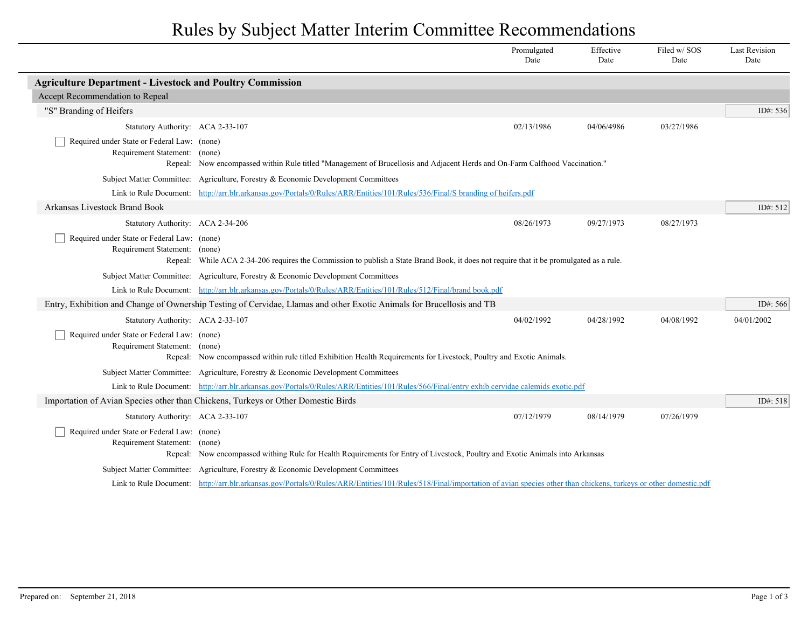## Rules by Subject Matter Interim Committee Recommendations

|                                                                              |                                                                                                                                                                                     | Promulgated<br>Date | Effective<br>Date | Filed w/SOS<br>Date | <b>Last Revision</b><br>Date |
|------------------------------------------------------------------------------|-------------------------------------------------------------------------------------------------------------------------------------------------------------------------------------|---------------------|-------------------|---------------------|------------------------------|
| <b>Agriculture Department - Livestock and Poultry Commission</b>             |                                                                                                                                                                                     |                     |                   |                     |                              |
| Accept Recommendation to Repeal                                              |                                                                                                                                                                                     |                     |                   |                     |                              |
| "S" Branding of Heifers                                                      |                                                                                                                                                                                     |                     |                   |                     | ID#: 536                     |
| Statutory Authority: ACA 2-33-107                                            |                                                                                                                                                                                     | 02/13/1986          | 04/06/4986        | 03/27/1986          |                              |
| Required under State or Federal Law: (none)<br>Requirement Statement: (none) | Repeal: Now encompassed within Rule titled "Management of Brucellosis and Adjacent Herds and On-Farm Calfhood Vaccination."                                                         |                     |                   |                     |                              |
|                                                                              | Subject Matter Committee: Agriculture, Forestry & Economic Development Committees                                                                                                   |                     |                   |                     |                              |
|                                                                              | Link to Rule Document: http://arr.blr.arkansas.gov/Portals/0/Rules/ARR/Entities/101/Rules/536/Final/S branding of heifers.pdf                                                       |                     |                   |                     |                              |
| <b>Arkansas Livestock Brand Book</b>                                         |                                                                                                                                                                                     |                     |                   |                     | ID#: 512                     |
| Statutory Authority: ACA 2-34-206                                            |                                                                                                                                                                                     | 08/26/1973          | 09/27/1973        | 08/27/1973          |                              |
| Required under State or Federal Law: (none)<br>Requirement Statement: (none) | Repeal: While ACA 2-34-206 requires the Commission to publish a State Brand Book, it does not require that it be promulgated as a rule.                                             |                     |                   |                     |                              |
|                                                                              | Subject Matter Committee: Agriculture, Forestry & Economic Development Committees                                                                                                   |                     |                   |                     |                              |
|                                                                              | Link to Rule Document: http://arr.blr.arkansas.gov/Portals/0/Rules/ARR/Entities/101/Rules/512/Final/brand book.pdf                                                                  |                     |                   |                     |                              |
|                                                                              | Entry, Exhibition and Change of Ownership Testing of Cervidae, Llamas and other Exotic Animals for Brucellosis and TB                                                               |                     |                   |                     | ID#: $566$                   |
| Statutory Authority: ACA 2-33-107                                            |                                                                                                                                                                                     | 04/02/1992          | 04/28/1992        | 04/08/1992          | 04/01/2002                   |
| Required under State or Federal Law: (none)<br>Requirement Statement: (none) | Repeal: Now encompassed within rule titled Exhibition Health Requirements for Livestock, Poultry and Exotic Animals.                                                                |                     |                   |                     |                              |
|                                                                              | Subject Matter Committee: Agriculture, Forestry & Economic Development Committees                                                                                                   |                     |                   |                     |                              |
|                                                                              | Link to Rule Document: http://arr.blr.arkansas.gov/Portals/0/Rules/ARR/Entities/101/Rules/566/Final/entry exhib cervidae calemids exotic.pdf                                        |                     |                   |                     |                              |
|                                                                              | Importation of Avian Species other than Chickens, Turkeys or Other Domestic Birds                                                                                                   |                     |                   |                     | ID#: 518                     |
| Statutory Authority: ACA 2-33-107                                            |                                                                                                                                                                                     | 07/12/1979          | 08/14/1979        | 07/26/1979          |                              |
| Required under State or Federal Law: (none)<br>Requirement Statement: (none) | Repeal: Now encompassed withing Rule for Health Requirements for Entry of Livestock, Poultry and Exotic Animals into Arkansas                                                       |                     |                   |                     |                              |
|                                                                              | Subject Matter Committee: Agriculture, Forestry & Economic Development Committees                                                                                                   |                     |                   |                     |                              |
|                                                                              | Link to Rule Document: http://arr.blr.arkansas.gov/Portals/0/Rules/ARR/Entities/101/Rules/518/Final/importation of avian species other than chickens, turkeys or other domestic.pdf |                     |                   |                     |                              |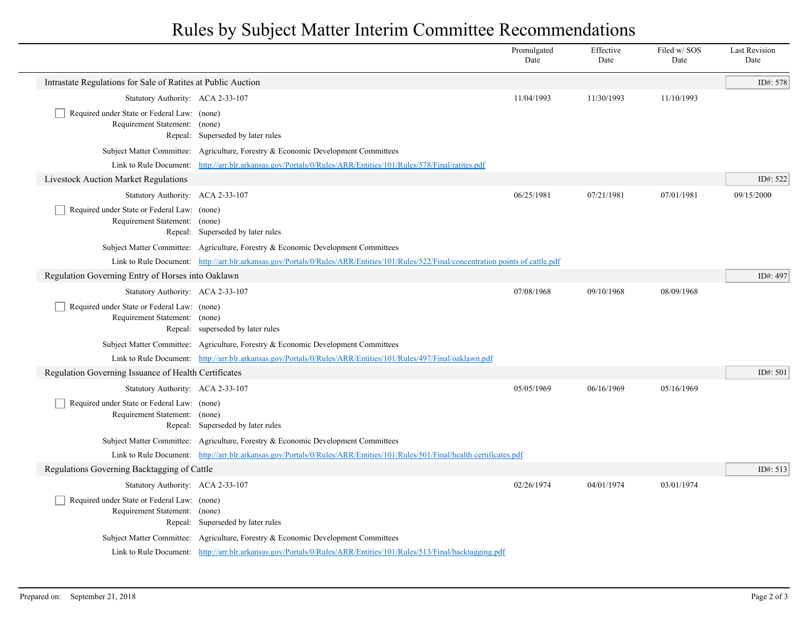## Rules by Subject Matter Interim Committee Recommendations

|                                                                              |                                                                                                                                        | Promulgated<br>Date | Effective<br>Date | Filed w/SOS<br>Date | <b>Last Revision</b><br>Date |
|------------------------------------------------------------------------------|----------------------------------------------------------------------------------------------------------------------------------------|---------------------|-------------------|---------------------|------------------------------|
| Intrastate Regulations for Sale of Ratites at Public Auction                 |                                                                                                                                        |                     |                   |                     | ID#: 578                     |
| Statutory Authority: ACA 2-33-107                                            |                                                                                                                                        | 11/04/1993          | 11/30/1993        | 11/10/1993          |                              |
| Required under State or Federal Law: (none)                                  |                                                                                                                                        |                     |                   |                     |                              |
| Requirement Statement: (none)                                                | Repeal: Superseded by later rules                                                                                                      |                     |                   |                     |                              |
|                                                                              | Subject Matter Committee: Agriculture, Forestry & Economic Development Committees                                                      |                     |                   |                     |                              |
|                                                                              | Link to Rule Document: http://arr.blr.arkansas.gov/Portals/0/Rules/ARR/Entities/101/Rules/578/Final/ratites.pdf                        |                     |                   |                     |                              |
| Livestock Auction Market Regulations                                         |                                                                                                                                        |                     |                   |                     | ID#: 522                     |
| Statutory Authority: ACA 2-33-107                                            |                                                                                                                                        | 06/25/1981          | 07/21/1981        | 07/01/1981          | 09/15/2000                   |
| Required under State or Federal Law: (none)                                  |                                                                                                                                        |                     |                   |                     |                              |
| Requirement Statement: (none)                                                |                                                                                                                                        |                     |                   |                     |                              |
|                                                                              | Repeal: Superseded by later rules                                                                                                      |                     |                   |                     |                              |
|                                                                              | Subject Matter Committee: Agriculture, Forestry & Economic Development Committees                                                      |                     |                   |                     |                              |
|                                                                              | Link to Rule Document: http://arr.blr.arkansas.gov/Portals/0/Rules/ARR/Entities/101/Rules/522/Final/concentration points of cattle.pdf |                     |                   |                     |                              |
| Regulation Governing Entry of Horses into Oaklawn                            |                                                                                                                                        |                     |                   |                     | ID#: 497                     |
| Statutory Authority: ACA 2-33-107                                            |                                                                                                                                        | 07/08/1968          | 09/10/1968        | 08/09/1968          |                              |
| Required under State or Federal Law: (none)<br>Requirement Statement: (none) |                                                                                                                                        |                     |                   |                     |                              |
|                                                                              | Repeal: superseded by later rules                                                                                                      |                     |                   |                     |                              |
|                                                                              | Subject Matter Committee: Agriculture, Forestry & Economic Development Committees                                                      |                     |                   |                     |                              |
|                                                                              | Link to Rule Document: http://arr.blr.arkansas.gov/Portals/0/Rules/ARR/Entities/101/Rules/497/Final/oaklawn.pdf                        |                     |                   |                     |                              |
| Regulation Governing Issuance of Health Certificates                         |                                                                                                                                        |                     |                   |                     | ID#: 501                     |
| Statutory Authority: ACA 2-33-107                                            |                                                                                                                                        | 05/05/1969          | 06/16/1969        | 05/16/1969          |                              |
| Required under State or Federal Law: (none)                                  |                                                                                                                                        |                     |                   |                     |                              |
| Requirement Statement: (none)                                                | Repeal: Superseded by later rules                                                                                                      |                     |                   |                     |                              |
|                                                                              | Subject Matter Committee: Agriculture, Forestry & Economic Development Committees                                                      |                     |                   |                     |                              |
|                                                                              | Link to Rule Document: http://arr.blr.arkansas.gov/Portals/0/Rules/ARR/Entities/101/Rules/501/Final/health certificates.pdf            |                     |                   |                     |                              |
| Regulations Governing Backtagging of Cattle                                  |                                                                                                                                        |                     |                   |                     | ID#: 513                     |
| Statutory Authority: ACA 2-33-107                                            |                                                                                                                                        | 02/26/1974          | 04/01/1974        | 03/01/1974          |                              |
| Required under State or Federal Law: (none)                                  |                                                                                                                                        |                     |                   |                     |                              |
| Requirement Statement: (none)                                                |                                                                                                                                        |                     |                   |                     |                              |
|                                                                              | Repeal: Superseded by later rules                                                                                                      |                     |                   |                     |                              |
|                                                                              | Subject Matter Committee: Agriculture, Forestry & Economic Development Committees                                                      |                     |                   |                     |                              |
|                                                                              | Link to Rule Document: http://arr.blr.arkansas.gov/Portals/0/Rules/ARR/Entities/101/Rules/513/Final/backtagging.pdf                    |                     |                   |                     |                              |